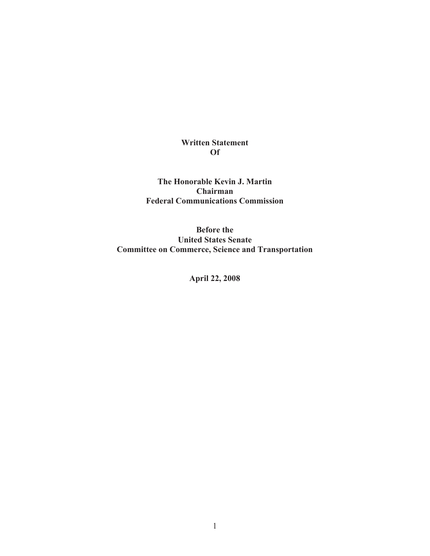### **Written Statement Of**

**The Honorable Kevin J. Martin Chairman Federal Communications Commission**

**Before the United States Senate Committee on Commerce, Science and Transportation**

**April 22, 2008**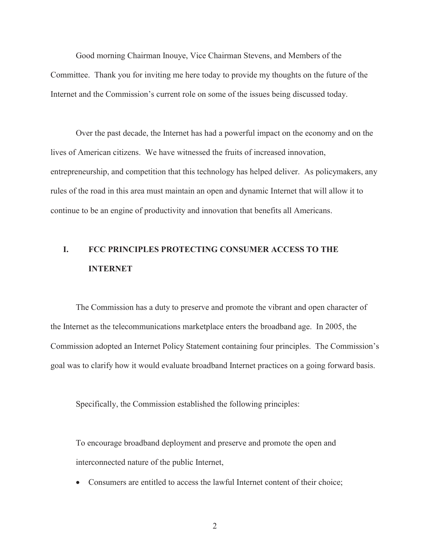Good morning Chairman Inouye, Vice Chairman Stevens, and Members of the Committee. Thank you for inviting me here today to provide my thoughts on the future of the Internet and the Commission's current role on some of the issues being discussed today.

Over the past decade, the Internet has had a powerful impact on the economy and on the lives of American citizens. We have witnessed the fruits of increased innovation, entrepreneurship, and competition that this technology has helped deliver. As policymakers, any rules of the road in this area must maintain an open and dynamic Internet that will allow it to continue to be an engine of productivity and innovation that benefits all Americans.

## **I. FCC PRINCIPLES PROTECTING CONSUMER ACCESS TO THE INTERNET**

The Commission has a duty to preserve and promote the vibrant and open character of the Internet as the telecommunications marketplace enters the broadband age. In 2005, the Commission adopted an Internet Policy Statement containing four principles. The Commission's goal was to clarify how it would evaluate broadband Internet practices on a going forward basis.

Specifically, the Commission established the following principles:

To encourage broadband deployment and preserve and promote the open and interconnected nature of the public Internet,

· Consumers are entitled to access the lawful Internet content of their choice;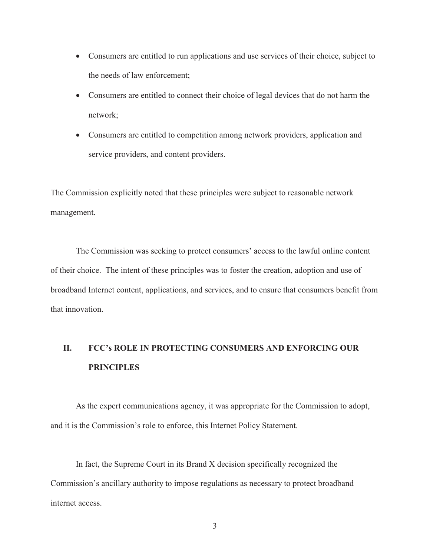- · Consumers are entitled to run applications and use services of their choice, subject to the needs of law enforcement;
- · Consumers are entitled to connect their choice of legal devices that do not harm the network;
- · Consumers are entitled to competition among network providers, application and service providers, and content providers.

The Commission explicitly noted that these principles were subject to reasonable network management.

The Commission was seeking to protect consumers' access to the lawful online content of their choice. The intent of these principles was to foster the creation, adoption and use of broadband Internet content, applications, and services, and to ensure that consumers benefit from that innovation.

# **II. FCC's ROLE IN PROTECTING CONSUMERS AND ENFORCING OUR PRINCIPLES**

As the expert communications agency, it was appropriate for the Commission to adopt, and it is the Commission's role to enforce, this Internet Policy Statement.

In fact, the Supreme Court in its Brand X decision specifically recognized the Commission's ancillary authority to impose regulations as necessary to protect broadband internet access.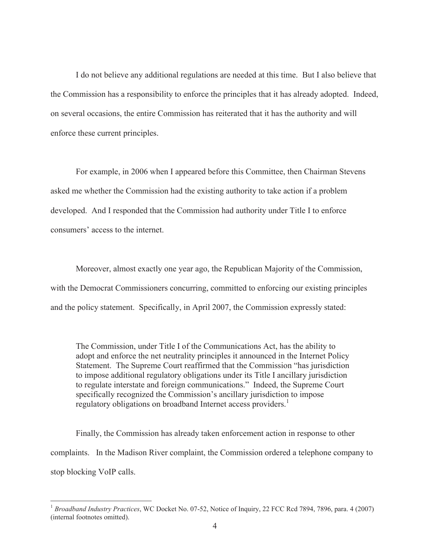I do not believe any additional regulations are needed at this time. But I also believe that the Commission has a responsibility to enforce the principles that it has already adopted. Indeed, on several occasions, the entire Commission has reiterated that it has the authority and will enforce these current principles.

For example, in 2006 when I appeared before this Committee, then Chairman Stevens asked me whether the Commission had the existing authority to take action if a problem developed. And I responded that the Commission had authority under Title I to enforce consumers' access to the internet.

Moreover, almost exactly one year ago, the Republican Majority of the Commission, with the Democrat Commissioners concurring, committed to enforcing our existing principles and the policy statement. Specifically, in April 2007, the Commission expressly stated:

The Commission, under Title I of the Communications Act, has the ability to adopt and enforce the net neutrality principles it announced in the Internet Policy Statement. The Supreme Court reaffirmed that the Commission "has jurisdiction to impose additional regulatory obligations under its Title I ancillary jurisdiction to regulate interstate and foreign communications." Indeed, the Supreme Court specifically recognized the Commission's ancillary jurisdiction to impose regulatory obligations on broadband Internet access providers.<sup>1</sup>

Finally, the Commission has already taken enforcement action in response to other complaints. In the Madison River complaint, the Commission ordered a telephone company to stop blocking VoIP calls.

<sup>&</sup>lt;sup>1</sup> Broadband Industry Practices, WC Docket No. 07-52, Notice of Inquiry, 22 FCC Rcd 7894, 7896, para. 4 (2007) (internal footnotes omitted).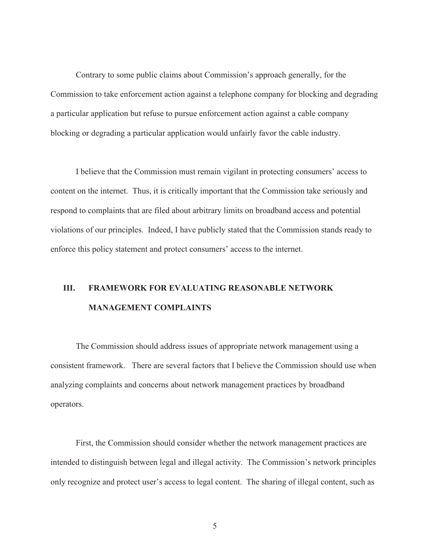Contrary to some public claims about Commission's approach generally, for the Commission to take enforcement action against a telephone company for blocking and degrading a particular application but refuse to pursue enforcement action against a cable company blocking or degrading a particular application would unfairly favor the cable industry.

I believe that the Commission must remain vigilant in protecting consumers' access to content on the internet. Thus, it is critically important that the Commission take seriously and respond to complaints that are filed about arbitrary limits on broadband access and potential violations of our principles. Indeed, I have publicly stated that the Commission stands ready to enforce this policy statement and protect consumers' access to the internet.

## **III. FRAMEWORK FOR EVALUATING REASONABLE NETWORK MANAGEMENT COMPLAINTS**

The Commission should address issues of appropriate network management using a consistent framework. There are several factors that I believe the Commission should use when analyzing complaints and concerns about network management practices by broadband operators.

First, the Commission should consider whether the network management practices are intended to distinguish between legal and illegal activity. The Commission's network principles only recognize and protect user's access to legal content. The sharing of illegal content, such as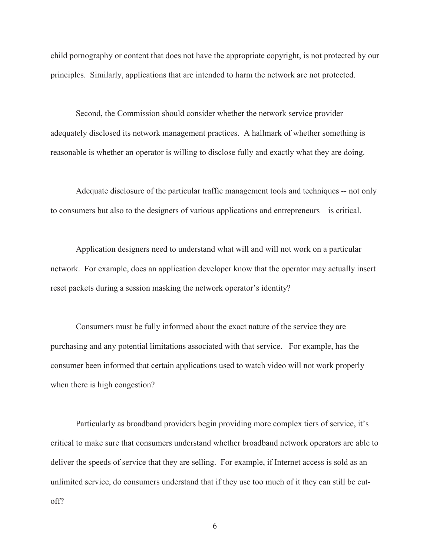child pornography or content that does not have the appropriate copyright, is not protected by our principles. Similarly, applications that are intended to harm the network are not protected.

Second, the Commission should consider whether the network service provider adequately disclosed its network management practices. A hallmark of whether something is reasonable is whether an operator is willing to disclose fully and exactly what they are doing.

Adequate disclosure of the particular traffic management tools and techniques -- not only to consumers but also to the designers of various applications and entrepreneurs – is critical.

Application designers need to understand what will and will not work on a particular network. For example, does an application developer know that the operator may actually insert reset packets during a session masking the network operator's identity?

Consumers must be fully informed about the exact nature of the service they are purchasing and any potential limitations associated with that service. For example, has the consumer been informed that certain applications used to watch video will not work properly when there is high congestion?

Particularly as broadband providers begin providing more complex tiers of service, it's critical to make sure that consumers understand whether broadband network operators are able to deliver the speeds of service that they are selling. For example, if Internet access is sold as an unlimited service, do consumers understand that if they use too much of it they can still be cutoff?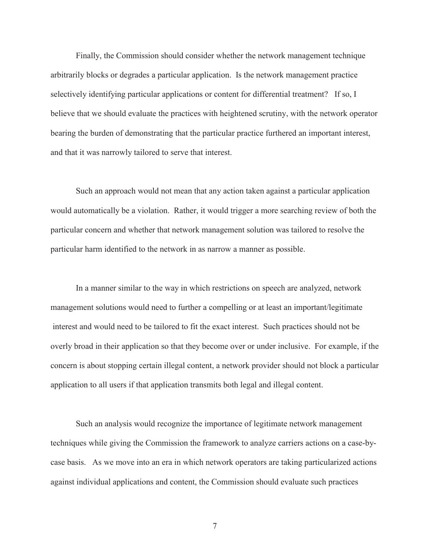Finally, the Commission should consider whether the network management technique arbitrarily blocks or degrades a particular application. Is the network management practice selectively identifying particular applications or content for differential treatment? If so, I believe that we should evaluate the practices with heightened scrutiny, with the network operator bearing the burden of demonstrating that the particular practice furthered an important interest, and that it was narrowly tailored to serve that interest.

Such an approach would not mean that any action taken against a particular application would automatically be a violation. Rather, it would trigger a more searching review of both the particular concern and whether that network management solution was tailored to resolve the particular harm identified to the network in as narrow a manner as possible.

In a manner similar to the way in which restrictions on speech are analyzed, network management solutions would need to further a compelling or at least an important/legitimate interest and would need to be tailored to fit the exact interest. Such practices should not be overly broad in their application so that they become over or under inclusive. For example, if the concern is about stopping certain illegal content, a network provider should not block a particular application to all users if that application transmits both legal and illegal content.

Such an analysis would recognize the importance of legitimate network management techniques while giving the Commission the framework to analyze carriers actions on a case-bycase basis. As we move into an era in which network operators are taking particularized actions against individual applications and content, the Commission should evaluate such practices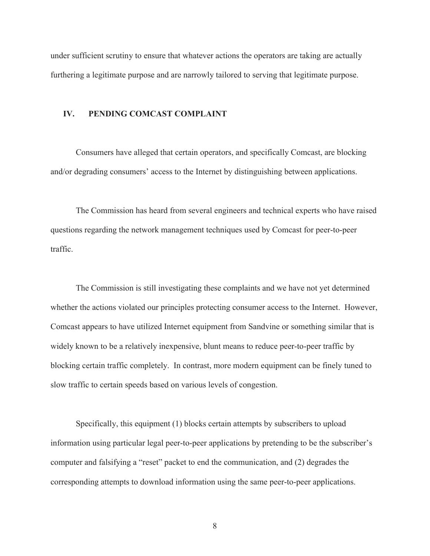under sufficient scrutiny to ensure that whatever actions the operators are taking are actually furthering a legitimate purpose and are narrowly tailored to serving that legitimate purpose.

#### **IV. PENDING COMCAST COMPLAINT**

Consumers have alleged that certain operators, and specifically Comcast, are blocking and/or degrading consumers' access to the Internet by distinguishing between applications.

The Commission has heard from several engineers and technical experts who have raised questions regarding the network management techniques used by Comcast for peer-to-peer traffic.

The Commission is still investigating these complaints and we have not yet determined whether the actions violated our principles protecting consumer access to the Internet. However, Comcast appears to have utilized Internet equipment from Sandvine or something similar that is widely known to be a relatively inexpensive, blunt means to reduce peer-to-peer traffic by blocking certain traffic completely. In contrast, more modern equipment can be finely tuned to slow traffic to certain speeds based on various levels of congestion.

Specifically, this equipment (1) blocks certain attempts by subscribers to upload information using particular legal peer-to-peer applications by pretending to be the subscriber's computer and falsifying a "reset" packet to end the communication, and (2) degrades the corresponding attempts to download information using the same peer-to-peer applications.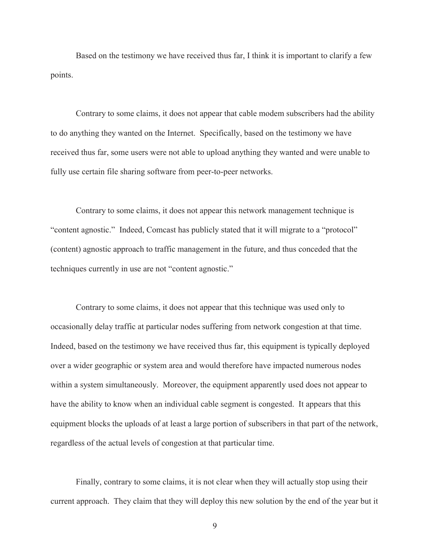Based on the testimony we have received thus far, I think it is important to clarify a few points.

Contrary to some claims, it does not appear that cable modem subscribers had the ability to do anything they wanted on the Internet. Specifically, based on the testimony we have received thus far, some users were not able to upload anything they wanted and were unable to fully use certain file sharing software from peer-to-peer networks.

Contrary to some claims, it does not appear this network management technique is "content agnostic." Indeed, Comcast has publicly stated that it will migrate to a "protocol" (content) agnostic approach to traffic management in the future, and thus conceded that the techniques currently in use are not "content agnostic."

Contrary to some claims, it does not appear that this technique was used only to occasionally delay traffic at particular nodes suffering from network congestion at that time. Indeed, based on the testimony we have received thus far, this equipment is typically deployed over a wider geographic or system area and would therefore have impacted numerous nodes within a system simultaneously. Moreover, the equipment apparently used does not appear to have the ability to know when an individual cable segment is congested. It appears that this equipment blocks the uploads of at least a large portion of subscribers in that part of the network, regardless of the actual levels of congestion at that particular time.

Finally, contrary to some claims, it is not clear when they will actually stop using their current approach. They claim that they will deploy this new solution by the end of the year but it